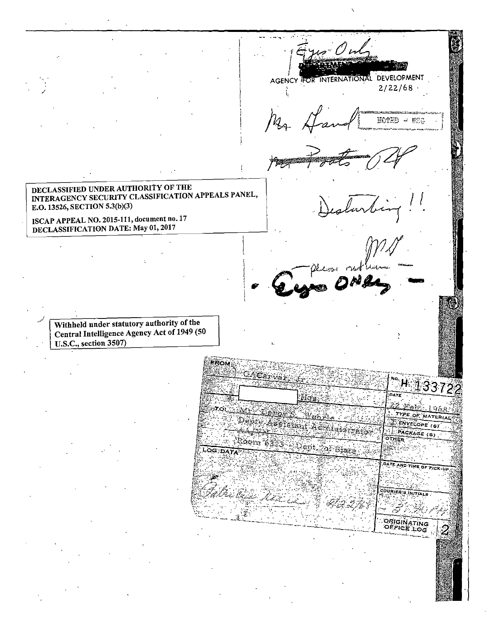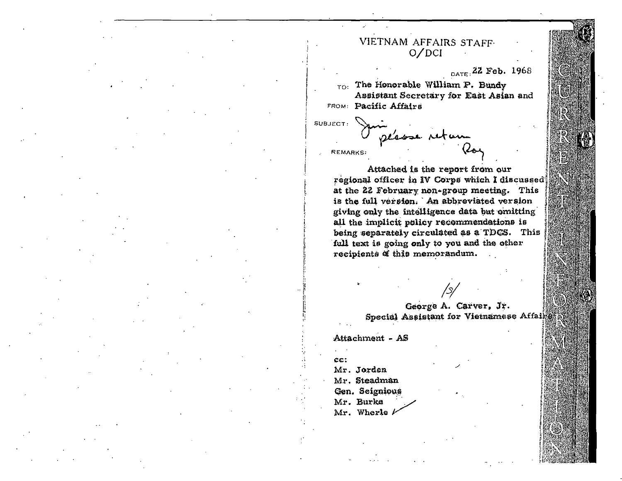## VIETNAM AFFAIRS STAFF.  $O/DCI$

DATE: 22 Feb. 1968

 $_{\text{TO}}$ . The Honorable William P. Bundy Assistant Secretary for East Asian and FROM: Pacific Affairs

SUBJECT:

**REMARKS:** 

Attached is the report from our regional officer in IV Corps which I discussed at the 22 February non-group meeting. This is the full version. An abbreviated version giving only the intelligence data but omitting all the implicit policy recommendations is being separately circulated as a TDCS. This full text is going only to you and the other recipients of this memorandum.

> George A. Carver, Jr. Special Assistant for Vietnamese Affairs

Attachment - AS

CCT. Mr. Jorden Mr. Steadman Gen. Seignious Mr. Burke Mr. Wherle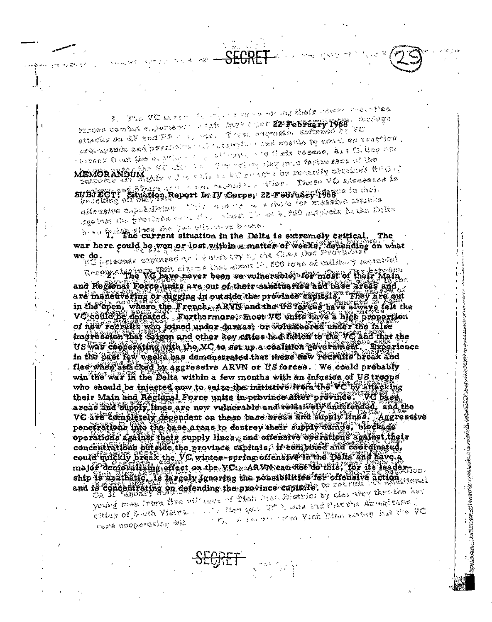The Villages of the most complete the controls when follows combut elgibrished in their days final 22 February 1968. Second we over the case of and Fig. 1987. There are the contract of the same orginganda ash perchant to to the main and mathe te nevel en ractice. everen Soum has a column of the stranger of a Cape research. And Column rink MEMORANDUM which is the relief the come forwards of the ী অন্য পরাই কার্যাটাই হাসায়ের পিছ প্রয়েক্ত প্রাঞ্জান্ত এই ইতিক SUBJECT: Situation Report In IV Corps, 22 February 1988. Sacres Les This was not to a discharged and the manufacture gilengiye andalığınan wherein The art R. Sub Hartyleason for the Taples Realner Bul Breatheas Come of the

see that the current situation in the Delta is extremely critical. ጥኩል war here could be wen or lost within a matter of weeks, depending on what we do. l do jernama a productor a componente de composición de la productiva de la productiva de la productiva de la p<br>Economia de la productiva de la productiva del productiva del productiva del productiva del productiva del pro

and Regional Porce units are out of their sanctuaries and base areas and are maneuvering or digging in outside the province capitals. They are out in the open, where the French, ARVN and the USTeress have always felt the VC could be defeated. Furthermore; most VC units have a high proportion of new recruits who joined under dureas, or wolunteered under the false impression that Silgon and other key cities had fallen to the VC and that the US was cooperating with the VC to set up a coalition government. Experience in the bast few weeks has demonstrated that these new recruits break and flee when attacked by aggressive ARVN or US forces. We could probably win the war in the Delta within a few months with an infusion of US troops who should be injected now to seize the initiative from the VC by attacking their Main and Regional Force units in province after province. VC base. areas and supply. lines are now vulnerable and relatively underended. and the VC are completely dependent on these base areas and supply lines. Aggressive penetrations into the base areas to destroy their supply dumps, blockade operations against their supply lines, and offensive operations against their concentrations outside the province capitals. It combined and coordinated, could quickly break the VC winter-spring offensive in the Delta and have a major demoralising effect on the VC. ARVN can not do this, for its leadership is anathetic, is largely ignoring the possibilities for offensive action and is concentrating on defending the province capitals. We seemed

young men from the cultures of That has maked by classwer thereine her with the two two made and data the Americans . 《绿地》08 各位数 彩献为职。 A recept that Wish it is a state in the VC  $\mathcal{L} = \mathcal{L} \times \mathcal{L}^{\text{max}}_{\text{max}}$ rere scopereting wil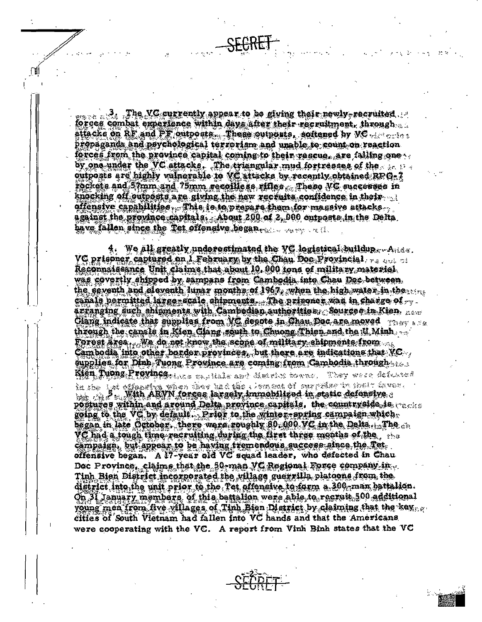$\sim$   $\sim$  3. The VG currently appear to be giving their newly-recruited  $\sim$ forces combat experience within days after their recruitment, through attacke on RF and PF outposts. These outposts, softened by VC we calculate propaganda and psychological terrorism and unable to count on reaction forces from the province capital coming to their rescue, are falling one. by one under the VC attacks. The triangular mud fortresses of the outposts are highly vulnerable to VC attacks by recently obtained RPG-7 rockets and 57mm and 75mm recoilless rifles. These VC successes in knocking off outposts are giving the new recruits confidence in their offensive capabilities . This is to prepare them for massive attacks . against the province capitals. About 200 of 2,000 outposts in the Delta. have fallen since the Tet offensive began.

4. We all greatly underestimated the VG logistical buildup... $A_{\text{index}}$ . VC prisoner captured on 1 February by the Chan Doc Provincial Reconnaissance Unit claims that about 10, 900 tons of military material. was covertly shipped by sampans from Cambodia into Chau Doc-between, the seventh and eleventh lunar months of 1967, when the high water in the canals permitted large-scale shipments. The prisoner was in charge of  $\sim$ arranging such shipments with Cambodian authorities. Sources in Kien  $_{\text{norm}}$ Giang indicate that supplies from  $\sqrt{2}$  depote in Ghau Doc are moved  $\gamma_{\rm{MFT~a}}$ through the canale in Kien Clang south to Chuong Thien and the U. Minh. Forest  $\tilde{a}$ rea $_{t\rightarrow 0}$ We do not know the scope of military shipments from  $_{\odot}$  . Cambodia into other border provinces, but there are indications that VC. supplies for Dinh Tuong Province are coming from Cambodia through  $\ldots$ **Kien Tyong Province** three captains and Meistry forms. They were defeated

in she hat offenseing when they had the company of energy factor in specific threepostures within and around Delta province capitals, the countryside is  $_{\rm{reco}}$ going to the VC by default. Prior to the winter-spring campaign which, began in late October. there were roughly  $30,000$  VC in the Delta... The  $_{ch}$  $VC$  had a tough time-recruiting during the first three menths of the  $\ldots$ campaign, but appear to be having tremendous success since the Tet. offensive began. A 17-year old VC squad leader, who defected in Chau Doc Province, claims that the 50-man VC Regional Force company in Tinh Bien District incorporated the village guerrills platoons from the district into the unit prior to the Tet offensive to form a 300 man battalion. On 31 January members, of this battalion were able to recruit 500 additional young men from five villages of Tinh Bien District by claiming that the key. cities of South Vietnam had fallen into VC hands and that the Americans were cooperating with the VC. A report from Vinh Binh states that the VC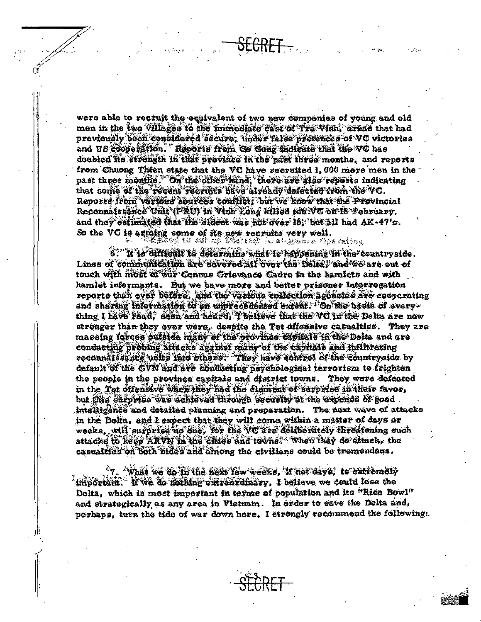were able to recruit the equivalent of two new companies of young and old men in the two Villages to the immediate case of Tra Vinh, areas that had previously been considered secure, under false pretences of VC victories and US cooperation. Reports from Go Cong indicate that the VC has doubled its strength in that province in the past three months, and reports from Chuong Thien state that the VC have recruited 1,000 more men in the past three months. On the ciner hand, there are also reports indicating that some of the recent recruits have already defected from the VC. Reporte from various sources conflict: but we know that the Provincial Reconnaissance Unit (PRU) in Vink Long Rilled fen WC on 18 February. and they cettmated that the eldest was not over 16, but all had AK-47's. So the VC is arming some of its new recruits very well.<br>So the VC is arming some of its new recruits we assume Operating

6: "If is difficult to determine what is happening in the countryside. Lines of communication are severed all over the Delta, and we are out of touch with most of our Census Crievance Cadre in the hamiets and with hamiet informants. But we have more and better prisoner interrogation reporte than ever before. and the various collection agencies ave cooperating and sharing information to an unprecedented extent. On the bacis of everything I have read, seen and heard, I believe that the VC in the Delta are now stronger than they ever were, despite the Tet offensive casualties. They are massing forces outside many of the province capitals in the Delta and are. conducting probing affacks against many of the capitals and inflitrating reconnaissance units into others: They have control of the countryside by default of the GVN and ave conducting psychological terrorism to frighten the people in the province capitals and district towns. They were defeated in the Tet offensive when they had the element of surprise in their favor, but this curprise was schieved through becarity at the expense of Rood. intelligence and detailed planning and preparation. The next wave of attacks in the Dolta, and I expect that they will come within a matter of days or weeke, will surprise no one. Yor the VC are deliberately threatening such attacks to keep ARVN in the cities and towns. When they do attack, the casualties on both sides and among the civilians could be tremendous.

 $^{\circ}$ 7. What we do in the next few weeks, if not days, to extremely important. If we do nothing extraordinary, I believe we could lose the Delta, which is most important in terms of population and its "Rice Bowl" and strategically as any area in Vietnam. In order to save the Delta and, perhaps, turn the tide of war down here. I strongly recommend the following: